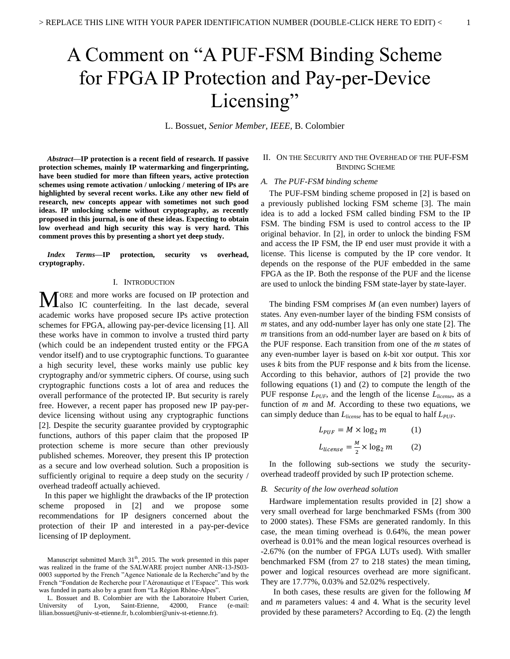# A Comment on "A PUF-FSM Binding Scheme for FPGA IP Protection and Pay-per-Device Licensing"

L. Bossuet, *Senior Member, IEEE,* B. Colombier

*Abstract***—IP protection is a recent field of research. If passive protection schemes, mainly IP watermarking and fingerprinting, have been studied for more than fifteen years, active protection schemes using remote activation / unlocking / metering of IPs are highlighted by several recent works. Like any other new field of research, new concepts appear with sometimes not such good ideas. IP unlocking scheme without cryptography, as recently proposed in this journal, is one of these ideas. Expecting to obtain low overhead and high security this way is very hard. This comment proves this by presenting a short yet deep study.**

*Index Terms***—IP protection, security vs overhead, cryptography.**

#### I. INTRODUCTION

ORE and more works are focused on IP protection and **MORE** and more works are focused on IP protection and also IC counterfeiting. In the last decade, several academic works have proposed secure IPs active protection schemes for FPGA, allowing pay-per-device licensing [1]. All these works have in common to involve a trusted third party (which could be an independent trusted entity or the FPGA vendor itself) and to use cryptographic functions. To guarantee a high security level, these works mainly use public key cryptography and/or symmetric ciphers. Of course, using such cryptographic functions costs a lot of area and reduces the overall performance of the protected IP. But security is rarely free. However, a recent paper has proposed new IP pay-perdevice licensing without using any cryptographic functions [2]. Despite the security guarantee provided by cryptographic functions, authors of this paper claim that the proposed IP protection scheme is more secure than other previously published schemes. Moreover, they present this IP protection as a secure and low overhead solution. Such a proposition is sufficiently original to require a deep study on the security / overhead tradeoff actually achieved.

In this paper we highlight the drawbacks of the IP protection scheme proposed in [2] and we propose some recommendations for IP designers concerned about the protection of their IP and interested in a pay-per-device licensing of IP deployment.

# II. ON THE SECURITY AND THE OVERHEAD OF THE PUF-FSM BINDING SCHEME

#### *A. The PUF-FSM binding scheme*

The PUF-FSM binding scheme proposed in [2] is based on a previously published locking FSM scheme [3]. The main idea is to add a locked FSM called binding FSM to the IP FSM. The binding FSM is used to control access to the IP original behavior. In [2], in order to unlock the binding FSM and access the IP FSM, the IP end user must provide it with a license. This license is computed by the IP core vendor. It depends on the response of the PUF embedded in the same FPGA as the IP. Both the response of the PUF and the license are used to unlock the binding FSM state-layer by state-layer.

The binding FSM comprises *M* (an even number) layers of states. Any even-number layer of the binding FSM consists of *m* states, and any odd-number layer has only one state [2]. The *m* transitions from an odd-number layer are based on *k* bits of the PUF response. Each transition from one of the *m* states of any even-number layer is based on *k*-bit xor output. This xor uses *k* bits from the PUF response and *k* bits from the license. According to this behavior, authors of [2] provide the two following equations (1) and (2) to compute the length of the PUF response *LPUF*, and the length of the license *Llicense*, as a function of *m* and *M*. According to these two equations, we can simply deduce than *Llicense* has to be equal to half *LPUF*.

$$
L_{PUF} = M \times \log_2 m \qquad (1)
$$
  

$$
L_{license} = \frac{M}{2} \times \log_2 m \qquad (2)
$$

In the following sub-sections we study the securityoverhead tradeoff provided by such IP protection scheme.

#### *B. Security of the low overhead solution*

Hardware implementation results provided in [2] show a very small overhead for large benchmarked FSMs (from 300 to 2000 states). These FSMs are generated randomly. In this case, the mean timing overhead is 0.64%, the mean power overhead is 0.01% and the mean logical resources overhead is -2.67% (on the number of FPGA LUTs used). With smaller benchmarked FSM (from 27 to 218 states) the mean timing, power and logical resources overhead are more significant. They are 17.77%, 0.03% and 52.02% respectively.

In both cases, these results are given for the following *M* and *m* parameters values: 4 and 4. What is the security level provided by these parameters? According to Eq. (2) the length

Manuscript submitted March  $31<sup>th</sup>$ , 2015. The work presented in this paper was realized in the frame of the SALWARE project number ANR-13-JS03- 0003 supported by the French "Agence Nationale de la Recherche"and by the French "Fondation de Recherche pour l'Aéronautique et l'Espace". This work was funded in parts also by a grant from "La Région Rhône-Alpes".

L. Bossuet and B. Colombier are with the Laboratoire Hubert Curien, University of Lyon, Saint-Etienne, 42000, France (e-mail: lilian.bossuet@univ-st-etienne.fr, b.colombier@univ-st-etienne.fr).